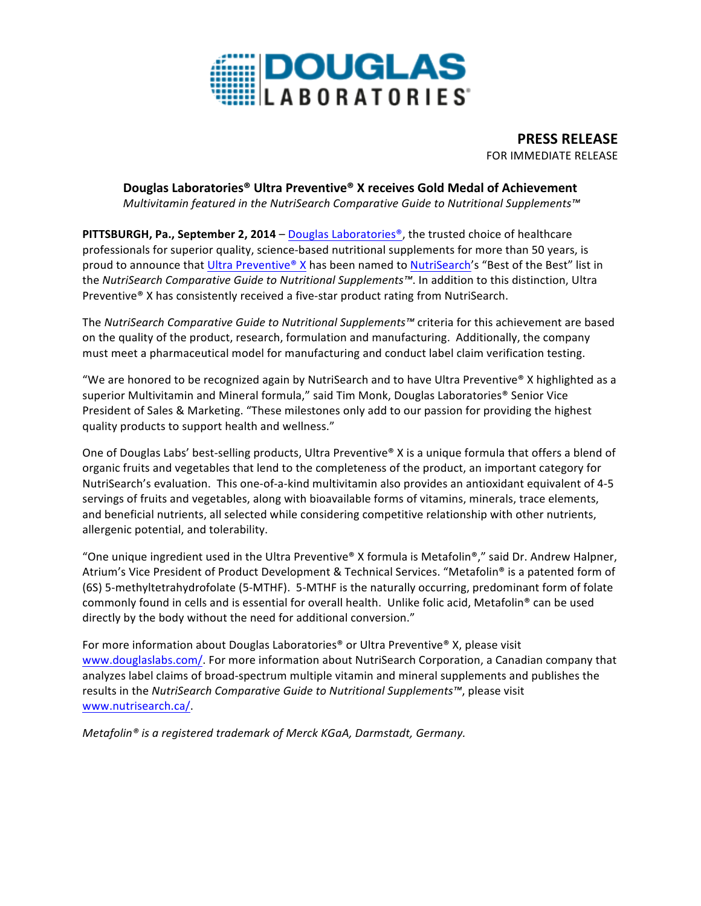

**PRESS RELEASE** FOR IMMEDIATE RELEASE

## **Douglas Laboratories® Ultra Preventive® X receives Gold Medal of Achievement**

*Multivitamin* featured in the NutriSearch Comparative Guide to Nutritional Supplements<sup>™</sup>

**PITTSBURGH, Pa., September 2, 2014** – Douglas Laboratories®, the trusted choice of healthcare professionals for superior quality, science-based nutritional supplements for more than 50 years, is proud to announce that Ultra Preventive® X has been named to NutriSearch's "Best of the Best" list in the *NutriSearch Comparative Guide to Nutritional Supplements™*. In addition to this distinction, Ultra Preventive<sup>®</sup> X has consistently received a five-star product rating from NutriSearch.

The *NutriSearch Comparative Guide to Nutritional Supplements™* criteria for this achievement are based on the quality of the product, research, formulation and manufacturing. Additionally, the company must meet a pharmaceutical model for manufacturing and conduct label claim verification testing.

"We are honored to be recognized again by NutriSearch and to have Ultra Preventive® X highlighted as a superior Multivitamin and Mineral formula," said Tim Monk, Douglas Laboratories® Senior Vice President of Sales & Marketing. "These milestones only add to our passion for providing the highest quality products to support health and wellness."

One of Douglas Labs' best-selling products, Ultra Preventive® X is a unique formula that offers a blend of organic fruits and vegetables that lend to the completeness of the product, an important category for NutriSearch's evaluation. This one-of-a-kind multivitamin also provides an antioxidant equivalent of 4-5 servings of fruits and vegetables, along with bioavailable forms of vitamins, minerals, trace elements, and beneficial nutrients, all selected while considering competitive relationship with other nutrients, allergenic potential, and tolerability.

"One unique ingredient used in the Ultra Preventive® X formula is Metafolin®," said Dr. Andrew Halpner, Atrium's Vice President of Product Development & Technical Services. "Metafolin® is a patented form of (6S) 5-methyltetrahydrofolate (5-MTHF). 5-MTHF is the naturally occurring, predominant form of folate commonly found in cells and is essential for overall health. Unlike folic acid, Metafolin® can be used directly by the body without the need for additional conversion."

For more information about Douglas Laboratories<sup>®</sup> or Ultra Preventive<sup>®</sup> X, please visit www.douglaslabs.com/. For more information about NutriSearch Corporation, a Canadian company that analyzes label claims of broad-spectrum multiple vitamin and mineral supplements and publishes the results in the *NutriSearch Comparative Guide to Nutritional Supplements™*, please visit www.nutrisearch.ca/.

*Metafolin<sup>®</sup> is a registered trademark of Merck KGaA, Darmstadt, Germany.*